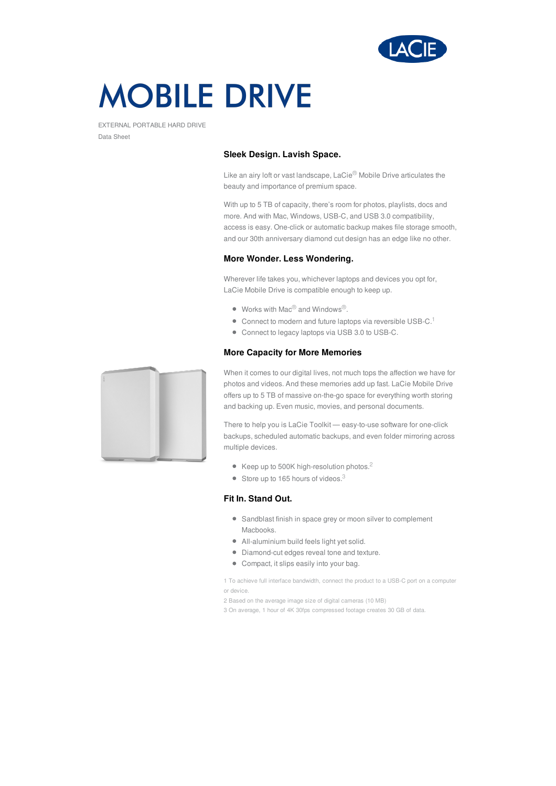

# **MOBILE DRIVE**

EXTERNAL PORTABLE HARD DRIVE Data Sheet

## **Sleek Design. Lavish Space.**

Like an airy loft or vast landscape, LaCie® Mobile Drive articulates the beauty and importance of premium space.

With up to 5 TB of capacity, there's room for photos, playlists, docs and more. And with Mac, Windows, USB-C, and USB 3.0 compatibility, access is easy. One-click or automatic backup makes file storage smooth, and our 30th anniversary diamond cut design has an edge like no other.

#### **More Wonder. Less Wondering.**

Wherever life takes you, whichever laptops and devices you opt for, LaCie Mobile Drive is compatible enough to keep up.

- $\bullet$  Works with Mac $^{\circledR}$  and Windows $^{\circledR}$ .
- $\bullet$  Connect to modern and future laptops via reversible USB-C.<sup>1</sup>
- Connect to legacy laptops via USB 3.0 to USB-C.

## **More Capacity for More Memories**



When it comes to our digital lives, not much tops the affection we have for photos and videos. And these memories add up fast. LaCie Mobile Drive offers up to 5 TB of massive on-the-go space for everything worth storing and backing up. Even music, movies, and personal documents.

There to help you is LaCie Toolkit — easy-to-use software for one-click backups, scheduled automatic backups, and even folder mirroring across multiple devices.

- Keep up to 500K high-resolution photos.<sup>2</sup>
- $\bullet$  Store up to 165 hours of videos.<sup>3</sup>

# **Fit In. Stand Out.**

- Sandblast finish in space grey or moon silver to complement Macbooks.
- All-aluminium build feels light yet solid.
- Diamond-cut edges reveal tone and texture.
- Compact, it slips easily into your bag.

1 To achieve full interface bandwidth, connect the product to a USB-C port on a computer or device.

- 2 Based on the average image size of digital cameras (10 MB)
- 3 On average, 1 hour of 4K 30fps compressed footage creates 30 GB of data.